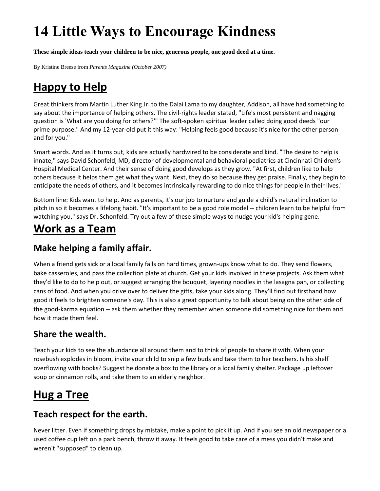# **14 Little Ways to Encourage Kindness**

**These simple ideas teach your children to be nice, generous people, one good deed at a time.**

By Kristine Breese from *Parents Magazine (October 2007)*

## **Happy to Help**

Great thinkers from Martin Luther King Jr. to the Dalai Lama to my daughter, Addison, all have had something to say about the importance of helping others. The civil-rights leader stated, "Life's most persistent and nagging question is 'What are you doing for others?'" The soft-spoken spiritual leader called doing good deeds "our prime purpose." And my 12-year-old put it this way: "Helping feels good because it's nice for the other person and for you."

Smart words. And as it turns out, kids are actually hardwired to be considerate and kind. "The desire to help is innate," says David Schonfeld, MD, director of developmental and behavioral pediatrics at Cincinnati Children's Hospital Medical Center. And their sense of doing good develops as they grow. "At first, children like to help others because it helps them get what they want. Next, they do so because they get praise. Finally, they begin to anticipate the needs of others, and it becomes intrinsically rewarding to do nice things for people in their lives."

Bottom line: Kids want to help. And as parents, it's our job to nurture and guide a child's natural inclination to pitch in so it becomes a lifelong habit. "It's important to be a good role model -- children learn to be helpful from watching you," says Dr. Schonfeld. Try out a few of these simple ways to nudge your kid's helping gene.

## **Work as a Team**

#### **Make helping a family affair.**

When a friend gets sick or a local family falls on hard times, grown-ups know what to do. They send flowers, bake casseroles, and pass the collection plate at church. Get your kids involved in these projects. Ask them what they'd like to do to help out, or suggest arranging the bouquet, layering noodles in the lasagna pan, or collecting cans of food. And when you drive over to deliver the gifts, take your kids along. They'll find out firsthand how good it feels to brighten someone's day. This is also a great opportunity to talk about being on the other side of the good-karma equation -- ask them whether they remember when someone did something nice for them and how it made them feel.

#### **Share the wealth.**

Teach your kids to see the abundance all around them and to think of people to share it with. When your rosebush explodes in bloom, invite your child to snip a few buds and take them to her teachers. Is his shelf overflowing with books? Suggest he donate a box to the library or a local family shelter. Package up leftover soup or cinnamon rolls, and take them to an elderly neighbor.

### **Hug a Tree**

#### **Teach respect for the earth.**

Never litter. Even if something drops by mistake, make a point to pick it up. And if you see an old newspaper or a used coffee cup left on a park bench, throw it away. It feels good to take care of a mess you didn't make and weren't "supposed" to clean up.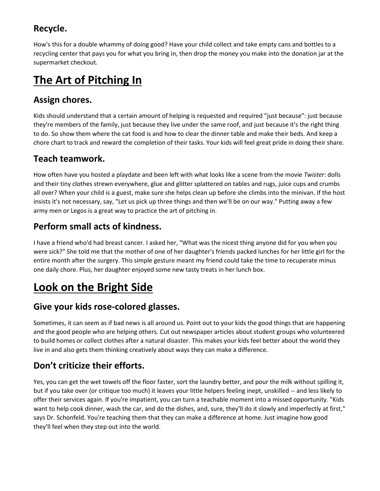### **Recycle.**

How's this for a double whammy of doing good? Have your child collect and take empty cans and bottles to a recycling center that pays you for what you bring in, then drop the money you make into the donation jar at the supermarket checkout.

# **The Art of Pitching In**

#### **Assign chores.**

Kids should understand that a certain amount of helping is requested and required "just because": just because they're members of the family, just because they live under the same roof, and just because it's the right thing to do. So show them where the cat food is and how to clear the dinner table and make their beds. And keep a chore chart to track and reward the completion of their tasks. Your kids will feel great pride in doing their share.

#### **Teach teamwork.**

How often have you hosted a playdate and been left with what looks like a scene from the movie *Twister*: dolls and their tiny clothes strewn everywhere, glue and glitter splattered on tables and rugs, juice cups and crumbs all over? When your child is a guest, make sure she helps clean up before she climbs into the minivan. If the host insists it's not necessary, say, "Let us pick up three things and then we'll be on our way." Putting away a few army men or Legos is a great way to practice the art of pitching in.

#### **Perform small acts of kindness.**

I have a friend who'd had breast cancer. I asked her, "What was the nicest thing anyone did for you when you were sick?" She told me that the mother of one of her daughter's friends packed lunches for her little girl for the entire month after the surgery. This simple gesture meant my friend could take the time to recuperate minus one daily chore. Plus, her daughter enjoyed some new tasty treats in her lunch box.

# **Look on the Bright Side**

#### **Give your kids rose-colored glasses.**

Sometimes, it can seem as if bad news is all around us. Point out to your kids the good things that are happening and the good people who are helping others. Cut out newspaper articles about student groups who volunteered to build homes or collect clothes after a natural disaster. This makes your kids feel better about the world they live in and also gets them thinking creatively about ways they can make a difference.

### **Don't criticize their efforts.**

Yes, you can get the wet towels off the floor faster, sort the laundry better, and pour the milk without spilling it, but if you take over (or critique too much) it leaves your little helpers feeling inept, unskilled -- and less likely to offer their services again. If you're impatient, you can turn a teachable moment into a missed opportunity. "Kids want to help cook dinner, wash the car, and do the dishes, and, sure, they'll do it slowly and imperfectly at first," says Dr. Schonfeld. You're teaching them that they can make a difference at home. Just imagine how good they'll feel when they step out into the world.